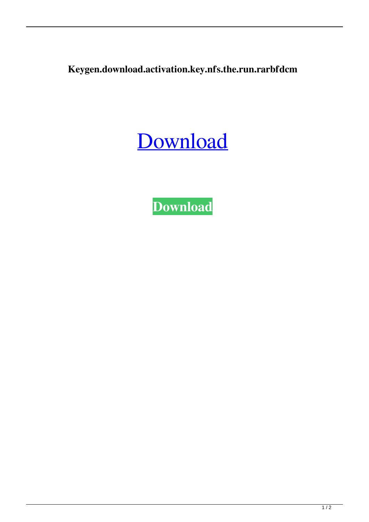**Keygen.download.activation.key.nfs.the.run.rarbfdcm**



**[Download](http://evacdir.com/housewares/mess/aulaclty.S2V5Z2VuLmRvd25sb2FkLmFjdGl2YXRpb24ua2V5Lm5mcy50aGUucnVuLnJhcmJmZGNtS2V.octave/ZG93bmxvYWR8bnoxTldneGZId3hOalV5TnpRd09EWTJmSHd5TlRjMGZId29UU2tnY21WaFpDMWliRzluSUZ0R1lYTjBJRWRGVGww)**